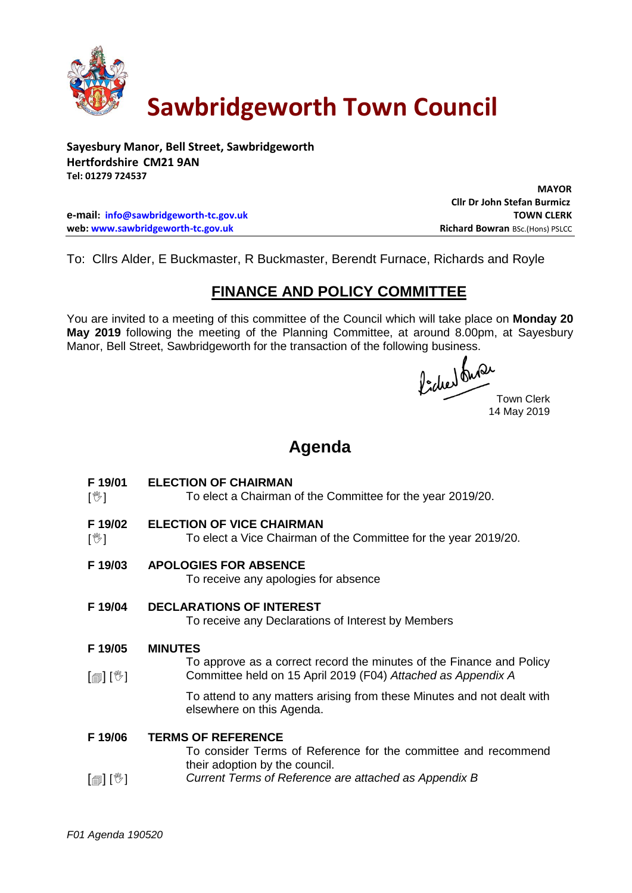

# **Sawbridgeworth Town Council**

**Sayesbury Manor, Bell Street, Sawbridgeworth Hertfordshire CM21 9AN Tel: 01279 724537**

 **Cllr Dr John Stefan Burmicz e-mail: [info@sawbridgeworth-tc.gov.uk](mailto:info@sawbridgeworth-tc.gov.uk) TOWN CLERK web: www.sawbridgeworth-tc.gov.uk Richard Bowran BSc.(Hons) PSLCC Richard Bowran BSc.(Hons) PSLCC** 

To: Cllrs Alder, E Buckmaster, R Buckmaster, Berendt Furnace, Richards and Royle

## **FINANCE AND POLICY COMMITTEE**

You are invited to a meeting of this committee of the Council which will take place on **Monday 20 May 2019** following the meeting of the Planning Committee, at around 8.00pm, at Sayesbury Manor, Bell Street, Sawbridgeworth for the transaction of the following business.<br>  $\int_{\mathbb{R}} \int_{\mathbb{R}} \mathbb{R} \mathbb{R}^2$ 

Town Clerk 14 May 2019

 **MAYOR**

## **Agenda**

- **F 19/01 ELECTION OF CHAIRMAN**
- $\sqrt{2}$ To elect a Chairman of the Committee for the year 2019/20.
- **F 19/02 ELECTION OF VICE CHAIRMAN**
- $\mathbb{I}^{\mathbb{W}}$ ] To elect a Vice Chairman of the Committee for the year 2019/20.
- **F 19/03 APOLOGIES FOR ABSENCE**

To receive any apologies for absence

## **F 19/04 DECLARATIONS OF INTEREST**

To receive any Declarations of Interest by Members

#### **F 19/05 MINUTES**

 $\lceil \blacksquare$ To approve as a correct record the minutes of the Finance and Policy Committee held on 15 April 2019 (F04) *Attached as Appendix A*

> To attend to any matters arising from these Minutes and not dealt with elsewhere on this Agenda.

#### **F 19/06 TERMS OF REFERENCE**

To consider Terms of Reference for the committee and recommend their adoption by the council.

 $\lceil$  [ $\parallel$   $\mathbb{I}$   $\rceil$   $\mid$   $\mathbb{V}$   $\rceil$ *Current Terms of Reference are attached as Appendix B*